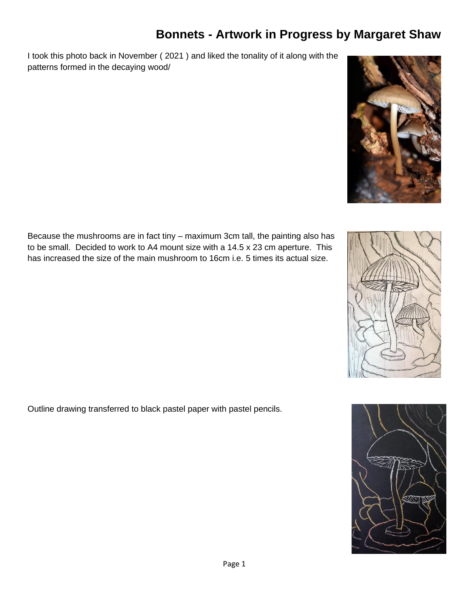## **Bonnets - Artwork in Progress by Margaret Shaw**

I took this photo back in November ( 2021 ) and liked the tonality of it along with the patterns formed in the decaying wood/



Because the mushrooms are in fact tiny – maximum 3cm tall, the painting also has to be small. Decided to work to A4 mount size with a 14.5 x 23 cm aperture. This has increased the size of the main mushroom to 16cm i.e. 5 times its actual size.

Outline drawing transferred to black pastel paper with pastel pencils.